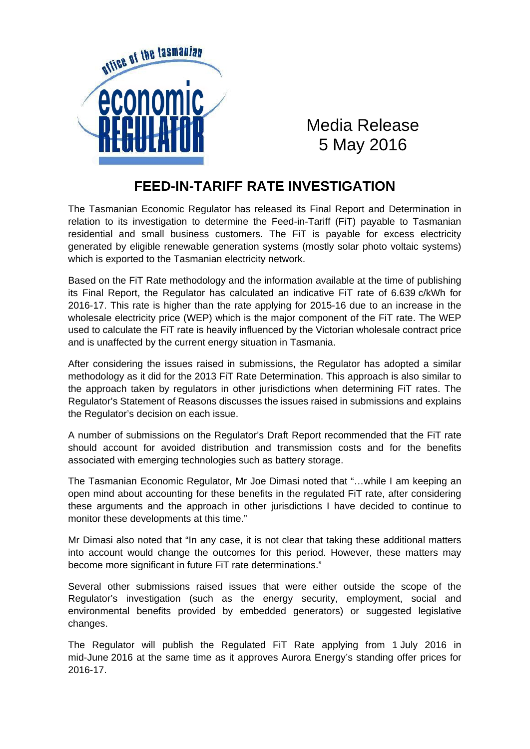

Media Release 5 May 2016

## **FEED-IN-TARIFF RATE INVESTIGATION**

The Tasmanian Economic Regulator has released its Final Report and Determination in relation to its investigation to determine the Feed-in-Tariff (FiT) payable to Tasmanian residential and small business customers. The FiT is payable for excess electricity generated by eligible renewable generation systems (mostly solar photo voltaic systems) which is exported to the Tasmanian electricity network.

Based on the FiT Rate methodology and the information available at the time of publishing its Final Report, the Regulator has calculated an indicative FiT rate of 6.639 c/kWh for 2016-17. This rate is higher than the rate applying for 2015-16 due to an increase in the wholesale electricity price (WEP) which is the major component of the FiT rate. The WEP used to calculate the FiT rate is heavily influenced by the Victorian wholesale contract price and is unaffected by the current energy situation in Tasmania.

After considering the issues raised in submissions, the Regulator has adopted a similar methodology as it did for the 2013 FiT Rate Determination. This approach is also similar to the approach taken by regulators in other jurisdictions when determining FiT rates. The Regulator's Statement of Reasons discusses the issues raised in submissions and explains the Regulator's decision on each issue.

A number of submissions on the Regulator's Draft Report recommended that the FiT rate should account for avoided distribution and transmission costs and for the benefits associated with emerging technologies such as battery storage.

The Tasmanian Economic Regulator, Mr Joe Dimasi noted that "…while I am keeping an open mind about accounting for these benefits in the regulated FiT rate, after considering these arguments and the approach in other jurisdictions I have decided to continue to monitor these developments at this time."

Mr Dimasi also noted that "In any case, it is not clear that taking these additional matters into account would change the outcomes for this period. However, these matters may become more significant in future FiT rate determinations."

Several other submissions raised issues that were either outside the scope of the Regulator's investigation (such as the energy security, employment, social and environmental benefits provided by embedded generators) or suggested legislative changes.

The Regulator will publish the Regulated FiT Rate applying from 1 July 2016 in mid-June 2016 at the same time as it approves Aurora Energy's standing offer prices for 2016-17.